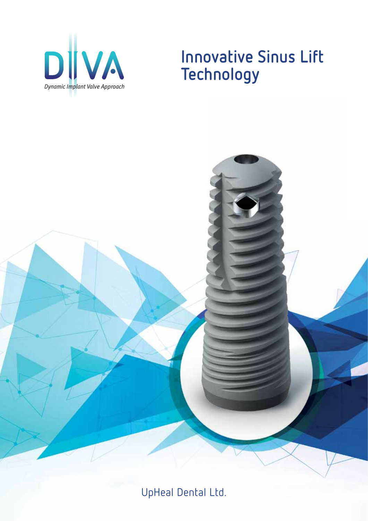

## **Innovative Sinus Lift Technology**



UpHeal Dental Ltd.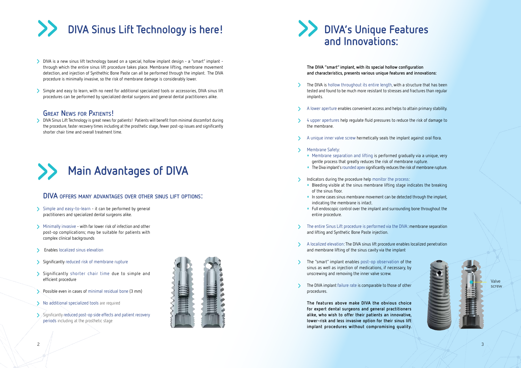# **and Innovations:**

**The DIVA "smart" implant, with its special hollow configuration and characteristics, presents various unique features and innovations:**

- **>** The DIVA is hollow throughout its entire length, with a structure that has been tested and found to be much more resistant to stresses and fractures than regular implants.
- **>** A lower aperture enables convenient access and helps to attain primary stability.
- **>** 4 upper apertures help regulate fluid pressures to reduce the risk of damage to the membrane.
- **>** A unique inner valve screw hermetically seals the implant against oral flora.
- **>** Membrane Safety:
	- **•**  Membrane separation and lifting is performed gradually via a unique, very gentle process that greatly reduces the risk of membrane rupture.
	- **•** The Diva implant's rounded apex significantly reduces the risk of membrane rupture.
- **>** Indicators during the procedure help monitor the process:
	- **•**  Bleeding visible at the sinus membrane lifting stage indicates the breaking of the sinus floor.
	- **•**  In some cases sinus membrane movement can be detected through the implant, indicating the membrane is intact.
	- **•**  Full endoscopic control over the implant and surrounding bone throughout the entire procedure.
- **>** The entire Sinus Lift procedure is performed via the DIVA: membrane separation and lifting and Synthetic Bone Paste injection.
- **>** A localized elevation: The DIVA sinus lift procedure enables localized penetration and membrane lifting of the sinus cavity via the implant
- **>** The "smart" implant enables post-op observation of the sinus as well as injection of medications, if necessary, by unscrewing and removing the inner valve screw.
- **>** The DIVA implant failure rate is comparable to those of other procedures.



**The features above make DIVA the obvious choice for expert dental surgeons and general practitioners alike, who wish to offer their patients an innovative, lower-risk and less invasive option for their sinus lift implant procedures without compromising quality.**



- **>** DIVA is a new sinus lift technology based on a special, hollow implant design a "smart" implant through which the entire sinus lift procedure takes place. Membrane lifting, membrane movement detection, and injection of Synthethic Bone Paste can all be performed through the implant. The DIVA procedure is minimally invasive, so the risk of membrane damage is considerably lower.
- **>** Simple and easy to learn, with no need for additional specialized tools or accessories, DIVA sinus lift procedures can be performed by specialized dental surgeons and general dental practitioners alike.

## **Great News for Patients!**

**>** DIVA Sinus Lift Technology is great news for patients! Patients will benefit from minimal discomfort during the procedure, faster recovery times including at the prosthetic stage, fewer post-op issues and significantly shorter chair time and overall treatment time.

### **DIVA offers many advantages over other sinus lift options:**



- **>** Simple and easy-to-learn it can be performed by general practitioners and specialized dental surgeons alike.
- **>** Minimally invasive with far lower risk of infection and other post-op complications; may be suitable for patients with complex clinical backgrounds
- **>** Enables localized sinus elevation
- **>** Significantly reduced risk of membrane rupture
- **>** Significantly shorter chair time due to simple and efficient procedure
- **>** Possible even in cases of minimal residual bone (3 mm)
- **>** No additional specialized tools are required
- **>** Significantly reduced post-op side effects and patient recovery periods including at the prosthetic stage



Valve screw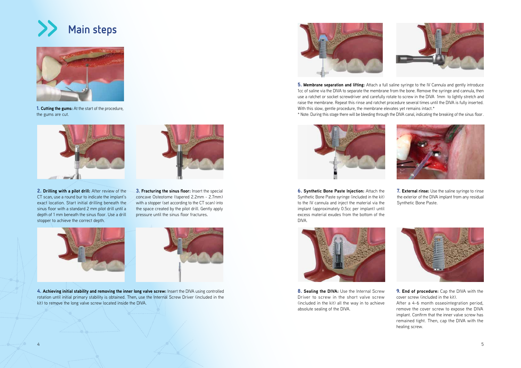



**1. Cutting the gums:** At the start of the procedure, the gums are cut.



**2. Drilling with a pilot drill:** After review of the CT scan, use a round bur to indicate the implant's exact location. Start initial drilling beneath the sinus floor with a standard 2 mm pilot drill until a depth of 1 mm beneath the sinus floor. Use a drill stopper to achieve the correct depth.



**3. Fracturing the sinus floor:** Insert the special concave Osteotome (tapered 2.2mm - 2.7mm) with a stopper (set according to the CT scan) into the space created by the pilot drill. Gently apply pressure until the sinus floor fractures.





**8. Sealing the DIVA:** Use the Internal Screw Driver to screw in the short valve screw (included in the kit) all the way in to achieve absolute sealing of the DIVA.





**4. Achieving initial stability and removing the inner long valve screw:** Insert the DIVA using controlled rotation until initial primary stability is obtained. Then, use the Internal Screw Driver (included in the kit) to remove the long valve screw located inside the DIVA.



**5. Membrane separation and lifting:** Attach a full saline syringe to the IV Cannula and gently introduce 1cc of saline via the DIVA to separate the membrane from the bone. Remove the syringe and cannula, then use a ratchet or socket screwdriver and carefully rotate to screw in the DIVA 1mm to lightly stretch and raise the membrane. Repeat this rinse and ratchet procedure several times until the DIVA is fully inserted. With this slow, gentle procedure, the membrane elevates yet remains intact.\* \* Note: During this stage there will be bleeding through the DIVA canal, indicating the breaking of the sinus floor.

**7. External rinse:** Use the saline syringe to rinse the exterior of the DIVA implant from any residual Synthetic Bone Paste.



**9.** End of procedure: Cap the DIVA with the cover screw (included in the kit).



**6. Synthetic Bone Paste Injection:** Attach the Synthetic Bone Paste syringe (included in the kit) to the IV cannula and inject the material via the implant (approximately 0.5cc per implant) until excess material exudes from the bottom of the DIVA.

After a 4-6 month osseointegration period, remove the cover screw to expose the DIVA implant. Confirm that the inner valve screw has remained tight. Then, cap the DIVA with the healing screw.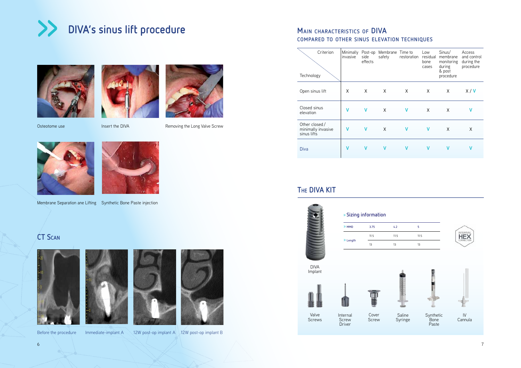

## **The DIVA kit**





## **Main characteristics of DIVA compared to other sinus elevation techniques**









Osteotome use Insert the DIVA Removing the Long Valve Screw



| Technology                                         | Criterion       | Minimally Post-op<br>invasive | side<br>effects | Membrane Time to<br>safety | restoration | Low<br>residual<br>bone<br>cases | Sinus/<br>membrane<br>monitoring<br>during<br>& post<br>procedure | Access<br>and control<br>during the<br>procedure |
|----------------------------------------------------|-----------------|-------------------------------|-----------------|----------------------------|-------------|----------------------------------|-------------------------------------------------------------------|--------------------------------------------------|
|                                                    | Open sinus lift | X                             | X               | X                          | X           | X                                | X                                                                 | X/V                                              |
| elevation                                          | Closed sinus    | V                             | V               | X                          | V           | X                                | X                                                                 | v                                                |
| Other closed/<br>minimally invasive<br>sinus lifts |                 | ۷                             | $\mathsf{V}$    | $\mathsf{X}$               | V           | v                                | X                                                                 | X                                                |
| <b>Diva</b>                                        |                 | ٧                             | v               | v                          | v           | V                                | v                                                                 | V                                                |

Valve Screws

Internal Screw **Driver** 

Membrane Separation ane Lifting Synthetic Bone Paste injection

## **CT Scan**







DIVA Implant





| » Sizing information |      |      |   |  |  |  |  |
|----------------------|------|------|---|--|--|--|--|
| » MMD                | 3.75 | 4.2  | 5 |  |  |  |  |
|                      | 11.5 | 11.5 |   |  |  |  |  |
| » Length             | 13   | 13   | 1 |  |  |  |  |
|                      |      |      |   |  |  |  |  |

Cover Screw